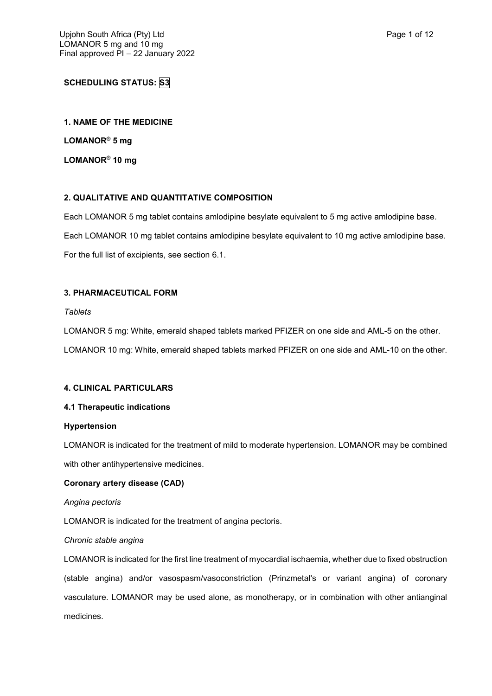# **SCHEDULING STATUS: S3**

### **1. NAME OF THE MEDICINE**

**LOMANOR® 5 mg**

**LOMANOR® 10 mg**

# **2. QUALITATIVE AND QUANTITATIVE COMPOSITION**

Each LOMANOR 5 mg tablet contains amlodipine besylate equivalent to 5 mg active amlodipine base.

Each LOMANOR 10 mg tablet contains amlodipine besylate equivalent to 10 mg active amlodipine base.

For the full list of excipients, see section 6.1.

## **3. PHARMACEUTICAL FORM**

*Tablets*

LOMANOR 5 mg: White, emerald shaped tablets marked PFIZER on one side and AML-5 on the other.

LOMANOR 10 mg: White, emerald shaped tablets marked PFIZER on one side and AML-10 on the other.

## **4. CLINICAL PARTICULARS**

### **4.1 Therapeutic indications**

### **Hypertension**

LOMANOR is indicated for the treatment of mild to moderate hypertension. LOMANOR may be combined with other antihypertensive medicines.

# **Coronary artery disease (CAD)**

### *Angina pectoris*

LOMANOR is indicated for the treatment of angina pectoris.

*Chronic stable angina*

LOMANOR is indicated for the first line treatment of myocardial ischaemia, whether due to fixed obstruction (stable angina) and/or vasospasm/vasoconstriction (Prinzmetal's or variant angina) of coronary vasculature. LOMANOR may be used alone, as monotherapy, or in combination with other antianginal medicines.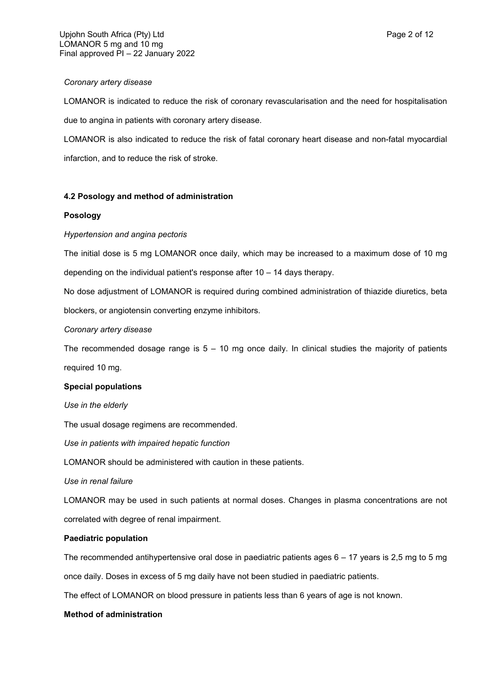### *Coronary artery disease*

LOMANOR is indicated to reduce the risk of coronary revascularisation and the need for hospitalisation due to angina in patients with coronary artery disease.

LOMANOR is also indicated to reduce the risk of fatal coronary heart disease and non-fatal myocardial infarction, and to reduce the risk of stroke.

## **4.2 Posology and method of administration**

### **Posology**

## *Hypertension and angina pectoris*

The initial dose is 5 mg LOMANOR once daily, which may be increased to a maximum dose of 10 mg depending on the individual patient's response after 10 – 14 days therapy.

No dose adjustment of LOMANOR is required during combined administration of thiazide diuretics, beta blockers, or angiotensin converting enzyme inhibitors.

### *Coronary artery disease*

The recommended dosage range is  $5 - 10$  mg once daily. In clinical studies the majority of patients required 10 mg.

## **Special populations**

*Use in the elderly*

The usual dosage regimens are recommended.

*Use in patients with impaired hepatic function*

LOMANOR should be administered with caution in these patients.

*Use in renal failure*

LOMANOR may be used in such patients at normal doses. Changes in plasma concentrations are not correlated with degree of renal impairment.

## **Paediatric population**

The recommended antihypertensive oral dose in paediatric patients ages 6 – 17 years is 2,5 mg to 5 mg once daily. Doses in excess of 5 mg daily have not been studied in paediatric patients.

The effect of LOMANOR on blood pressure in patients less than 6 years of age is not known.

## **Method of administration**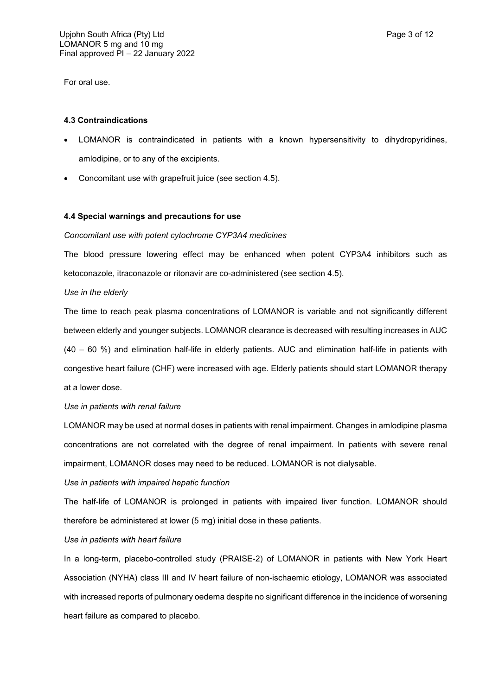For oral use.

### **4.3 Contraindications**

- LOMANOR is contraindicated in patients with a known hypersensitivity to dihydropyridines, amlodipine, or to any of the excipients.
- Concomitant use with grapefruit juice (see section 4.5).

### **4.4 Special warnings and precautions for use**

### *Concomitant use with potent cytochrome CYP3A4 medicines*

The blood pressure lowering effect may be enhanced when potent CYP3A4 inhibitors such as ketoconazole, itraconazole or ritonavir are co-administered (see section 4.5).

### *Use in the elderly*

The time to reach peak plasma concentrations of LOMANOR is variable and not significantly different between elderly and younger subjects. LOMANOR clearance is decreased with resulting increases in AUC (40 – 60 %) and elimination half-life in elderly patients. AUC and elimination half-life in patients with congestive heart failure (CHF) were increased with age. Elderly patients should start LOMANOR therapy at a lower dose.

### *Use in patients with renal failure*

LOMANOR may be used at normal doses in patients with renal impairment. Changes in amlodipine plasma concentrations are not correlated with the degree of renal impairment. In patients with severe renal impairment, LOMANOR doses may need to be reduced. LOMANOR is not dialysable.

*Use in patients with impaired hepatic function*

The half-life of LOMANOR is prolonged in patients with impaired liver function. LOMANOR should therefore be administered at lower (5 mg) initial dose in these patients.

*Use in patients with heart failure*

In a long-term, placebo-controlled study (PRAISE-2) of LOMANOR in patients with New York Heart Association (NYHA) class III and IV heart failure of non-ischaemic etiology, LOMANOR was associated with increased reports of pulmonary oedema despite no significant difference in the incidence of worsening heart failure as compared to placebo.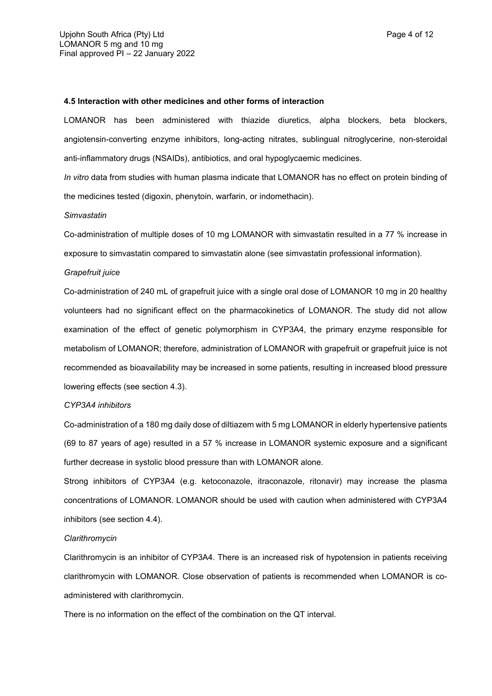#### **4.5 Interaction with other medicines and other forms of interaction**

LOMANOR has been administered with thiazide diuretics, alpha blockers, beta blockers, angiotensin-converting enzyme inhibitors, long-acting nitrates, sublingual nitroglycerine, non-steroidal anti-inflammatory drugs (NSAIDs), antibiotics, and oral hypoglycaemic medicines.

*In vitro* data from studies with human plasma indicate that LOMANOR has no effect on protein binding of the medicines tested (digoxin, phenytoin, warfarin, or indomethacin).

#### *Simvastatin*

Co-administration of multiple doses of 10 mg LOMANOR with simvastatin resulted in a 77 % increase in exposure to simvastatin compared to simvastatin alone (see simvastatin professional information).

#### *Grapefruit juice*

Co-administration of 240 mL of grapefruit juice with a single oral dose of LOMANOR 10 mg in 20 healthy volunteers had no significant effect on the pharmacokinetics of LOMANOR. The study did not allow examination of the effect of genetic polymorphism in CYP3A4, the primary enzyme responsible for metabolism of LOMANOR; therefore, administration of LOMANOR with grapefruit or grapefruit juice is not recommended as bioavailability may be increased in some patients, resulting in increased blood pressure lowering effects (see section 4.3).

#### *CYP3A4 inhibitors*

Co-administration of a 180 mg daily dose of diltiazem with 5 mg LOMANOR in elderly hypertensive patients (69 to 87 years of age) resulted in a 57 % increase in LOMANOR systemic exposure and a significant further decrease in systolic blood pressure than with LOMANOR alone.

Strong inhibitors of CYP3A4 (e.g. ketoconazole, itraconazole, ritonavir) may increase the plasma concentrations of LOMANOR. LOMANOR should be used with caution when administered with CYP3A4 inhibitors (see section 4.4).

#### *Clarithromycin*

Clarithromycin is an inhibitor of CYP3A4. There is an increased risk of hypotension in patients receiving clarithromycin with LOMANOR. Close observation of patients is recommended when LOMANOR is coadministered with clarithromycin.

There is no information on the effect of the combination on the QT interval.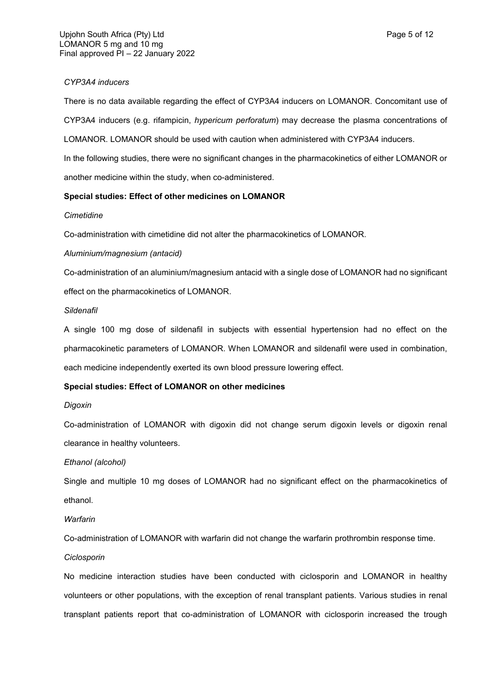### *CYP3A4 inducers*

There is no data available regarding the effect of CYP3A4 inducers on LOMANOR. Concomitant use of CYP3A4 inducers (e.g. rifampicin, *hypericum perforatum*) may decrease the plasma concentrations of LOMANOR. LOMANOR should be used with caution when administered with CYP3A4 inducers. In the following studies, there were no significant changes in the pharmacokinetics of either LOMANOR or

another medicine within the study, when co-administered.

### **Special studies: Effect of other medicines on LOMANOR**

#### *Cimetidine*

Co-administration with cimetidine did not alter the pharmacokinetics of LOMANOR.

#### *Aluminium/magnesium (antacid)*

Co-administration of an aluminium/magnesium antacid with a single dose of LOMANOR had no significant effect on the pharmacokinetics of LOMANOR.

#### *Sildenafil*

A single 100 mg dose of sildenafil in subjects with essential hypertension had no effect on the pharmacokinetic parameters of LOMANOR. When LOMANOR and sildenafil were used in combination, each medicine independently exerted its own blood pressure lowering effect.

### **Special studies: Effect of LOMANOR on other medicines**

#### *Digoxin*

Co-administration of LOMANOR with digoxin did not change serum digoxin levels or digoxin renal clearance in healthy volunteers.

### *Ethanol (alcohol)*

Single and multiple 10 mg doses of LOMANOR had no significant effect on the pharmacokinetics of ethanol.

#### *Warfarin*

Co-administration of LOMANOR with warfarin did not change the warfarin prothrombin response time.

### *Ciclosporin*

No medicine interaction studies have been conducted with ciclosporin and LOMANOR in healthy volunteers or other populations, with the exception of renal transplant patients. Various studies in renal transplant patients report that co-administration of LOMANOR with ciclosporin increased the trough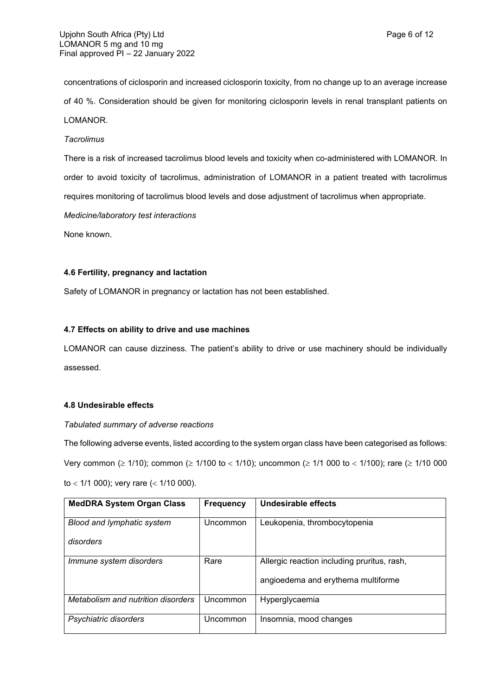concentrations of ciclosporin and increased ciclosporin toxicity, from no change up to an average increase of 40 %. Consideration should be given for monitoring ciclosporin levels in renal transplant patients on LOMANOR.

#### *Tacrolimus*

There is a risk of increased tacrolimus blood levels and toxicity when co-administered with LOMANOR. In order to avoid toxicity of tacrolimus, administration of LOMANOR in a patient treated with tacrolimus requires monitoring of tacrolimus blood levels and dose adjustment of tacrolimus when appropriate.

*Medicine/laboratory test interactions*

None known.

### **4.6 Fertility, pregnancy and lactation**

Safety of LOMANOR in pregnancy or lactation has not been established.

### **4.7 Effects on ability to drive and use machines**

LOMANOR can cause dizziness. The patient's ability to drive or use machinery should be individually assessed.

### **4.8 Undesirable effects**

### *Tabulated summary of adverse reactions*

The following adverse events, listed according to the system organ class have been categorised as follows: Very common ( $\geq 1/10$ ); common ( $\geq 1/100$  to < 1/10); uncommon ( $\geq 1/1$  000 to < 1/100); rare ( $\geq 1/10$  000 to  $<$  1/1 000); very rare  $(<$  1/10 000).

| <b>MedDRA System Organ Class</b>   | <b>Frequency</b> | Undesirable effects                         |
|------------------------------------|------------------|---------------------------------------------|
| Blood and lymphatic system         | Uncommon         | Leukopenia, thrombocytopenia                |
| disorders                          |                  |                                             |
| Immune system disorders            | Rare             | Allergic reaction including pruritus, rash, |
|                                    |                  | angioedema and erythema multiforme          |
| Metabolism and nutrition disorders | Uncommon         | Hyperglycaemia                              |
| Psychiatric disorders              | Uncommon         | Insomnia, mood changes                      |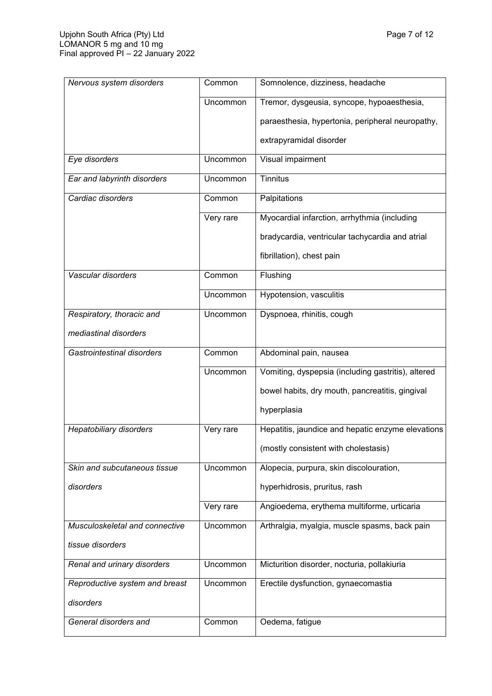| Nervous system disorders       | Common    | Somnolence, dizziness, headache                    |
|--------------------------------|-----------|----------------------------------------------------|
|                                | Uncommon  | Tremor, dysgeusia, syncope, hypoaesthesia,         |
|                                |           | paraesthesia, hypertonia, peripheral neuropathy,   |
|                                |           | extrapyramidal disorder                            |
| Eye disorders                  | Uncommon  | Visual impairment                                  |
| Ear and labyrinth disorders    | Uncommon  | <b>Tinnitus</b>                                    |
| Cardiac disorders              | Common    | Palpitations                                       |
|                                | Very rare | Myocardial infarction, arrhythmia (including       |
|                                |           | bradycardia, ventricular tachycardia and atrial    |
|                                |           | fibrillation), chest pain                          |
| Vascular disorders             | Common    | Flushing                                           |
|                                | Uncommon  | Hypotension, vasculitis                            |
| Respiratory, thoracic and      | Uncommon  | Dyspnoea, rhinitis, cough                          |
| mediastinal disorders          |           |                                                    |
| Gastrointestinal disorders     | Common    | Abdominal pain, nausea                             |
|                                | Uncommon  | Vomiting, dyspepsia (including gastritis), altered |
|                                |           | bowel habits, dry mouth, pancreatitis, gingival    |
|                                |           | hyperplasia                                        |
| <b>Hepatobiliary disorders</b> | Very rare | Hepatitis, jaundice and hepatic enzyme elevations  |
|                                |           | (mostly consistent with cholestasis)               |
| Skin and subcutaneous tissue   | Uncommon  | Alopecia, purpura, skin discolouration,            |
| disorders                      |           | hyperhidrosis, pruritus, rash                      |
|                                | Very rare | Angioedema, erythema multiforme, urticaria         |
| Musculoskeletal and connective | Uncommon  | Arthralgia, myalgia, muscle spasms, back pain      |
| tissue disorders               |           |                                                    |
| Renal and urinary disorders    | Uncommon  | Micturition disorder, nocturia, pollakiuria        |
| Reproductive system and breast | Uncommon  | Erectile dysfunction, gynaecomastia                |
| disorders                      |           |                                                    |
| General disorders and          | Common    | Oedema, fatigue                                    |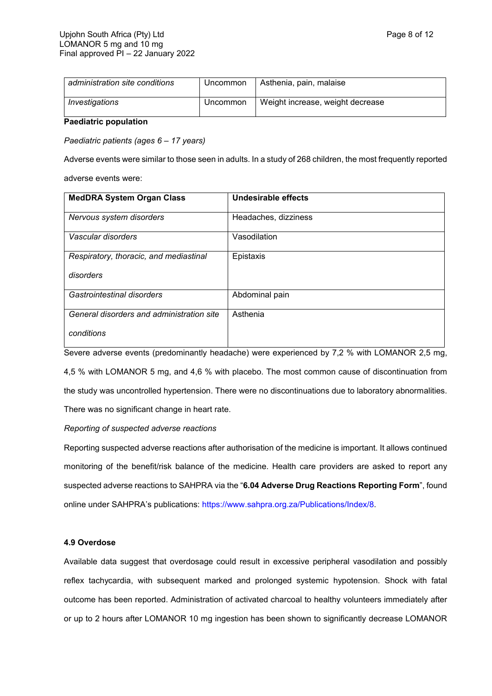| administration site conditions | Uncommon | Asthenia, pain, malaise          |
|--------------------------------|----------|----------------------------------|
| Investigations                 | Uncommon | Weight increase, weight decrease |

**Paediatric population**

*Paediatric patients (ages 6 – 17 years)*

Adverse events were similar to those seen in adults. In a study of 268 children, the most frequently reported adverse events were:

| <b>MedDRA System Organ Class</b>          | Undesirable effects  |
|-------------------------------------------|----------------------|
|                                           |                      |
| Nervous system disorders                  | Headaches, dizziness |
| Vascular disorders                        | Vasodilation         |
| Respiratory, thoracic, and mediastinal    | Epistaxis            |
| disorders                                 |                      |
| Gastrointestinal disorders                | Abdominal pain       |
| General disorders and administration site | Asthenia             |
| conditions                                |                      |

Severe adverse events (predominantly headache) were experienced by 7,2 % with LOMANOR 2,5 mg,

4,5 % with LOMANOR 5 mg, and 4,6 % with placebo. The most common cause of discontinuation from the study was uncontrolled hypertension. There were no discontinuations due to laboratory abnormalities.

There was no significant change in heart rate.

## *Reporting of suspected adverse reactions*

Reporting suspected adverse reactions after authorisation of the medicine is important. It allows continued monitoring of the benefit/risk balance of the medicine. Health care providers are asked to report any suspected adverse reactions to SAHPRA via the "**6.04 Adverse Drug Reactions Reporting Form**", found online under SAHPRA's publications: [https://www.sahpra.org.za/Publications/Index/8.](https://www.sahpra.org.za/Publications/Index/8)

## **4.9 Overdose**

Available data suggest that overdosage could result in excessive peripheral vasodilation and possibly reflex tachycardia, with subsequent marked and prolonged systemic hypotension. Shock with fatal outcome has been reported. Administration of activated charcoal to healthy volunteers immediately after or up to 2 hours after LOMANOR 10 mg ingestion has been shown to significantly decrease LOMANOR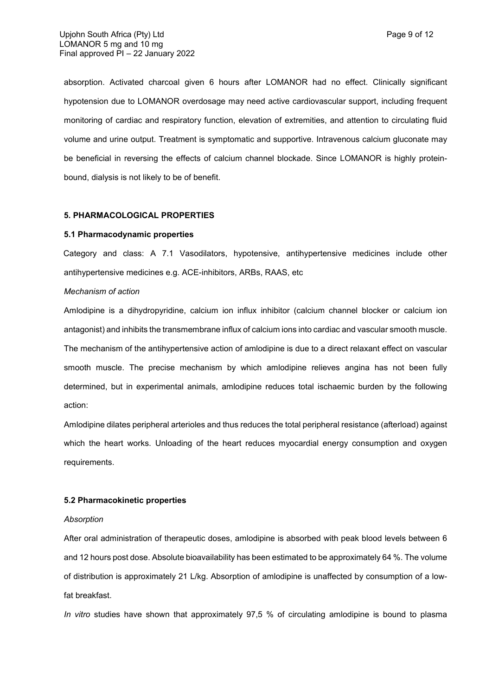absorption. Activated charcoal given 6 hours after LOMANOR had no effect. Clinically significant hypotension due to LOMANOR overdosage may need active cardiovascular support, including frequent monitoring of cardiac and respiratory function, elevation of extremities, and attention to circulating fluid volume and urine output. Treatment is symptomatic and supportive. Intravenous calcium gluconate may be beneficial in reversing the effects of calcium channel blockade. Since LOMANOR is highly proteinbound, dialysis is not likely to be of benefit.

#### **5. PHARMACOLOGICAL PROPERTIES**

#### **5.1 Pharmacodynamic properties**

Category and class: A 7.1 Vasodilators, hypotensive, antihypertensive medicines include other antihypertensive medicines e.g. ACE-inhibitors, ARBs, RAAS, etc

#### *Mechanism of action*

Amlodipine is a dihydropyridine, calcium ion influx inhibitor (calcium channel blocker or calcium ion antagonist) and inhibits the transmembrane influx of calcium ions into cardiac and vascular smooth muscle. The mechanism of the antihypertensive action of amlodipine is due to a direct relaxant effect on vascular smooth muscle. The precise mechanism by which amlodipine relieves angina has not been fully determined, but in experimental animals, amlodipine reduces total ischaemic burden by the following action:

Amlodipine dilates peripheral arterioles and thus reduces the total peripheral resistance (afterload) against which the heart works. Unloading of the heart reduces myocardial energy consumption and oxygen requirements.

#### **5.2 Pharmacokinetic properties**

#### *Absorption*

After oral administration of therapeutic doses, amlodipine is absorbed with peak blood levels between 6 and 12 hours post dose. Absolute bioavailability has been estimated to be approximately 64 %. The volume of distribution is approximately 21 L/kg. Absorption of amlodipine is unaffected by consumption of a lowfat breakfast.

*In vitro* studies have shown that approximately 97,5 % of circulating amlodipine is bound to plasma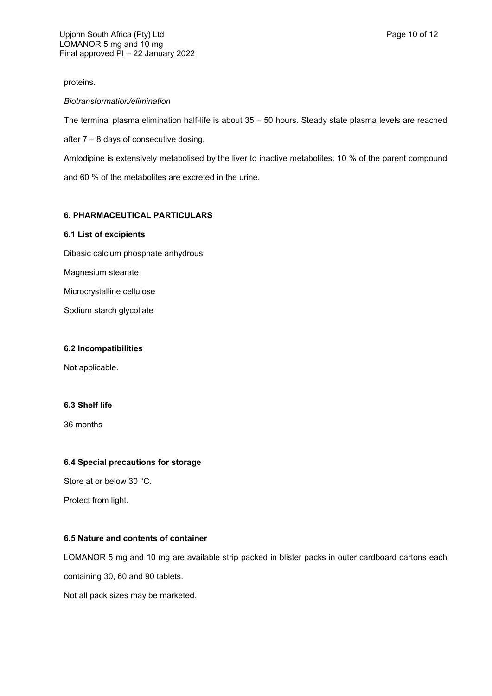proteins.

#### *Biotransformation/elimination*

The terminal plasma elimination half-life is about 35 – 50 hours. Steady state plasma levels are reached after 7 – 8 days of consecutive dosing. Amlodipine is extensively metabolised by the liver to inactive metabolites. 10 % of the parent compound

and 60 % of the metabolites are excreted in the urine.

# **6. PHARMACEUTICAL PARTICULARS**

### **6.1 List of excipients**

Dibasic calcium phosphate anhydrous Magnesium stearate

Microcrystalline cellulose

Sodium starch glycollate

### **6.2 Incompatibilities**

Not applicable.

## **6.3 Shelf life**

36 months

## **6.4 Special precautions for storage**

Store at or below 30 °C.

Protect from light.

# **6.5 Nature and contents of container**

LOMANOR 5 mg and 10 mg are available strip packed in blister packs in outer cardboard cartons each containing 30, 60 and 90 tablets.

Not all pack sizes may be marketed.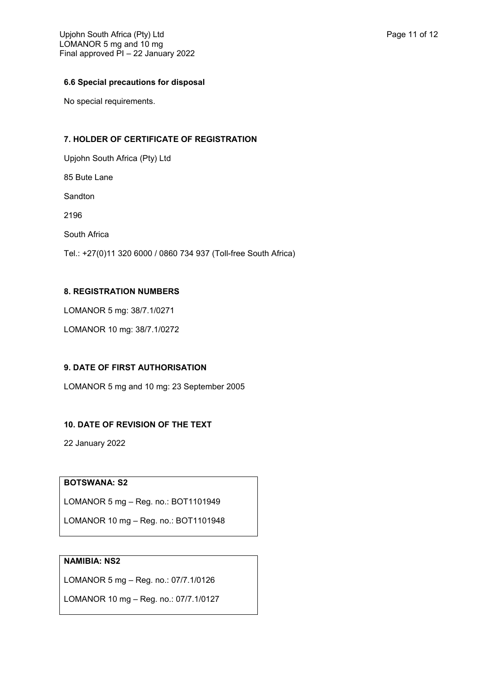# **6.6 Special precautions for disposal**

No special requirements.

# **7. HOLDER OF CERTIFICATE OF REGISTRATION**

Upjohn South Africa (Pty) Ltd

85 Bute Lane

Sandton

2196

South Africa

Tel.: +27(0)11 320 6000 / 0860 734 937 (Toll-free South Africa)

# **8. REGISTRATION NUMBERS**

LOMANOR 5 mg: 38/7.1/0271

LOMANOR 10 mg: 38/7.1/0272

## **9. DATE OF FIRST AUTHORISATION**

LOMANOR 5 mg and 10 mg: 23 September 2005

## **10. DATE OF REVISION OF THE TEXT**

22 January 2022

## **BOTSWANA: S2**

LOMANOR 5 mg – Reg. no.: BOT1101949

LOMANOR 10 mg – Reg. no.: BOT1101948

# **NAMIBIA: NS2**

LOMANOR 5 mg – Reg. no.: 07/7.1/0126

LOMANOR 10 mg – Reg. no.: 07/7.1/0127